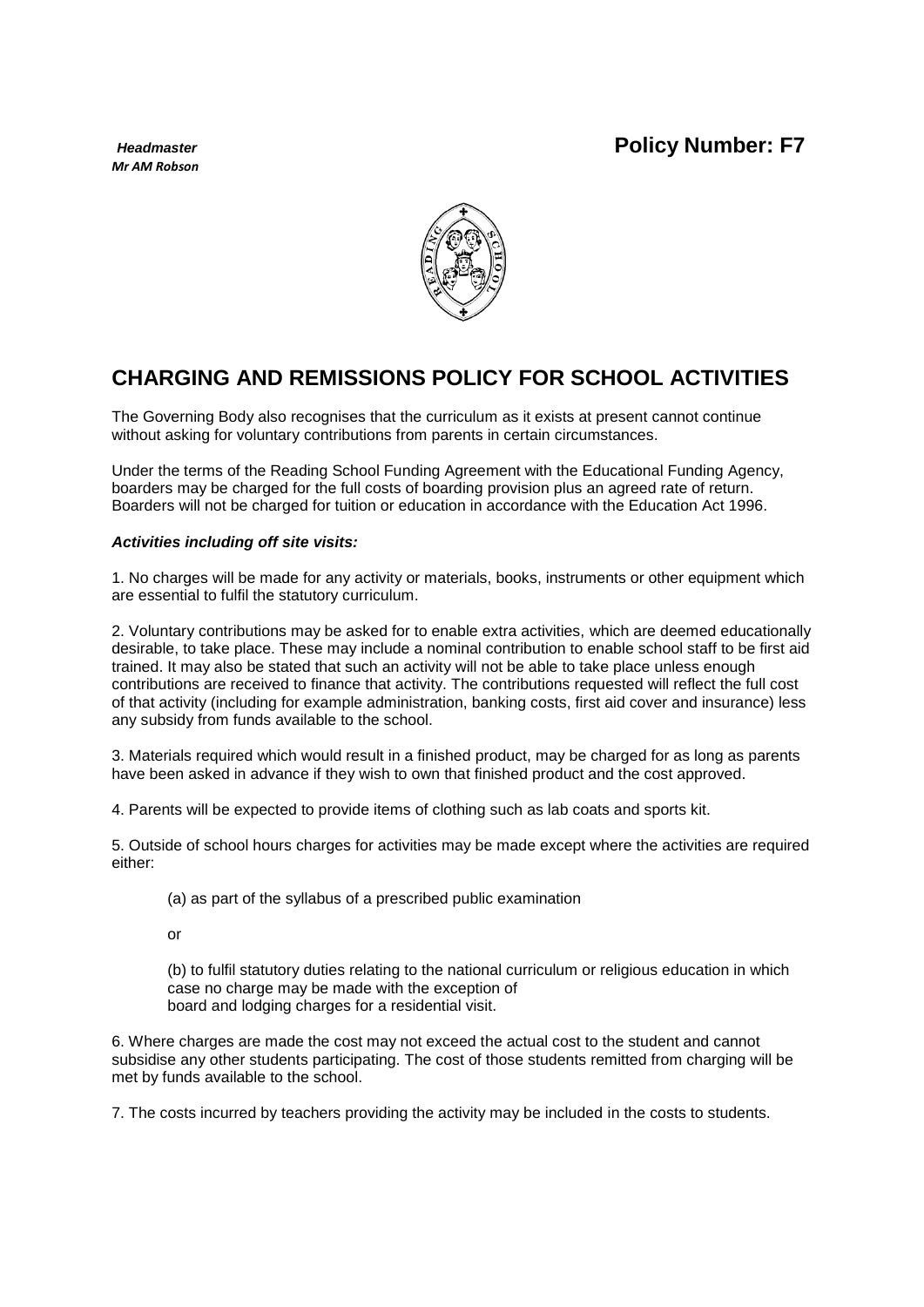# *Headmaster* **Policy Number: F7**

*Mr AM Robson*



# **CHARGING AND REMISSIONS POLICY FOR SCHOOL ACTIVITIES**

The Governing Body also recognises that the curriculum as it exists at present cannot continue without asking for voluntary contributions from parents in certain circumstances.

Under the terms of the Reading School Funding Agreement with the Educational Funding Agency, boarders may be charged for the full costs of boarding provision plus an agreed rate of return. Boarders will not be charged for tuition or education in accordance with the Education Act 1996.

## *Activities including off site visits:*

1. No charges will be made for any activity or materials, books, instruments or other equipment which are essential to fulfil the statutory curriculum.

2. Voluntary contributions may be asked for to enable extra activities, which are deemed educationally desirable, to take place. These may include a nominal contribution to enable school staff to be first aid trained. It may also be stated that such an activity will not be able to take place unless enough contributions are received to finance that activity. The contributions requested will reflect the full cost of that activity (including for example administration, banking costs, first aid cover and insurance) less any subsidy from funds available to the school.

3. Materials required which would result in a finished product, may be charged for as long as parents have been asked in advance if they wish to own that finished product and the cost approved.

4. Parents will be expected to provide items of clothing such as lab coats and sports kit.

5. Outside of school hours charges for activities may be made except where the activities are required either:

(a) as part of the syllabus of a prescribed public examination

or

(b) to fulfil statutory duties relating to the national curriculum or religious education in which case no charge may be made with the exception of board and lodging charges for a residential visit.

6. Where charges are made the cost may not exceed the actual cost to the student and cannot subsidise any other students participating. The cost of those students remitted from charging will be met by funds available to the school.

7. The costs incurred by teachers providing the activity may be included in the costs to students.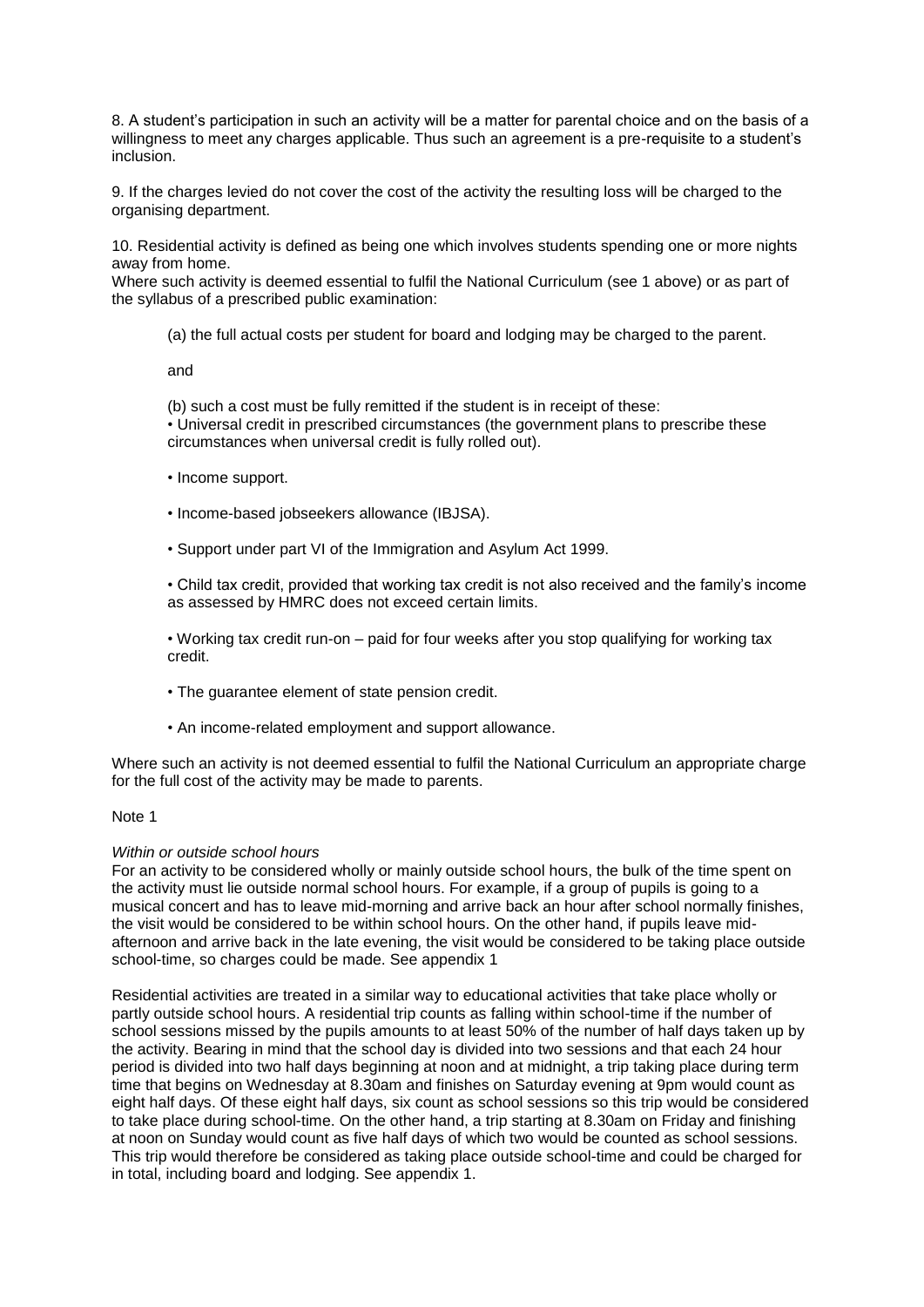8. A student's participation in such an activity will be a matter for parental choice and on the basis of a willingness to meet any charges applicable. Thus such an agreement is a pre-requisite to a student's inclusion.

9. If the charges levied do not cover the cost of the activity the resulting loss will be charged to the organising department.

10. Residential activity is defined as being one which involves students spending one or more nights away from home.

Where such activity is deemed essential to fulfil the National Curriculum (see 1 above) or as part of the syllabus of a prescribed public examination:

(a) the full actual costs per student for board and lodging may be charged to the parent.

and

(b) such a cost must be fully remitted if the student is in receipt of these: • Universal credit in prescribed circumstances (the government plans to prescribe these circumstances when universal credit is fully rolled out).

- Income support.
- Income-based jobseekers allowance (IBJSA).
- Support under part VI of the Immigration and Asylum Act 1999.

• Child tax credit, provided that working tax credit is not also received and the family's income as assessed by HMRC does not exceed certain limits.

• Working tax credit run-on – paid for four weeks after you stop qualifying for working tax credit.

- The guarantee element of state pension credit.
- An income-related employment and support allowance.

Where such an activity is not deemed essential to fulfil the National Curriculum an appropriate charge for the full cost of the activity may be made to parents.

#### Note 1

#### *Within or outside school hours*

For an activity to be considered wholly or mainly outside school hours, the bulk of the time spent on the activity must lie outside normal school hours. For example, if a group of pupils is going to a musical concert and has to leave mid-morning and arrive back an hour after school normally finishes, the visit would be considered to be within school hours. On the other hand, if pupils leave midafternoon and arrive back in the late evening, the visit would be considered to be taking place outside school-time, so charges could be made. See appendix 1

Residential activities are treated in a similar way to educational activities that take place wholly or partly outside school hours. A residential trip counts as falling within school-time if the number of school sessions missed by the pupils amounts to at least 50% of the number of half days taken up by the activity. Bearing in mind that the school day is divided into two sessions and that each 24 hour period is divided into two half days beginning at noon and at midnight, a trip taking place during term time that begins on Wednesday at 8.30am and finishes on Saturday evening at 9pm would count as eight half days. Of these eight half days, six count as school sessions so this trip would be considered to take place during school-time. On the other hand, a trip starting at 8.30am on Friday and finishing at noon on Sunday would count as five half days of which two would be counted as school sessions. This trip would therefore be considered as taking place outside school-time and could be charged for in total, including board and lodging. See appendix 1.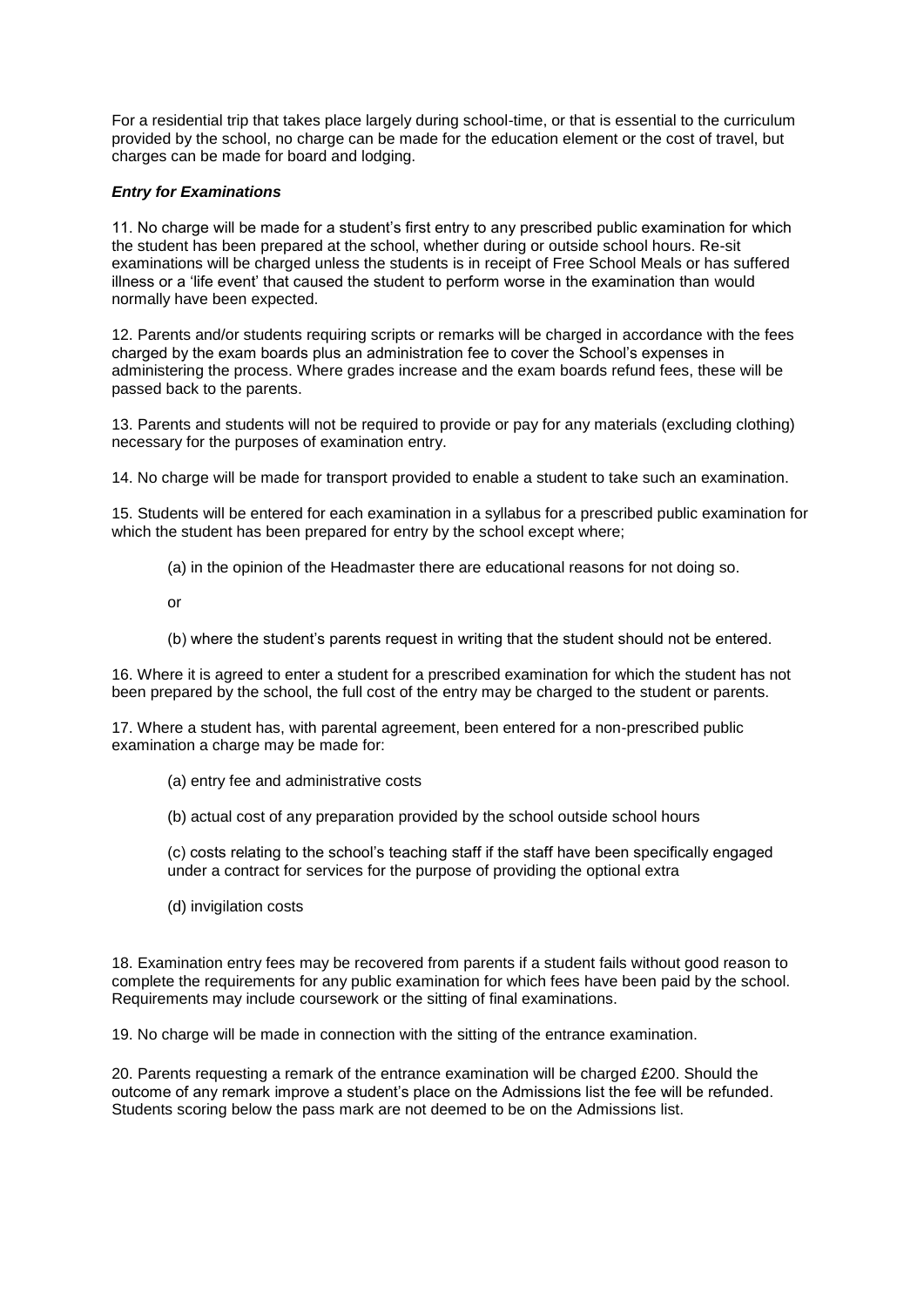For a residential trip that takes place largely during school-time, or that is essential to the curriculum provided by the school, no charge can be made for the education element or the cost of travel, but charges can be made for board and lodging.

### *Entry for Examinations*

11. No charge will be made for a student's first entry to any prescribed public examination for which the student has been prepared at the school, whether during or outside school hours. Re-sit examinations will be charged unless the students is in receipt of Free School Meals or has suffered illness or a 'life event' that caused the student to perform worse in the examination than would normally have been expected.

12. Parents and/or students requiring scripts or remarks will be charged in accordance with the fees charged by the exam boards plus an administration fee to cover the School's expenses in administering the process. Where grades increase and the exam boards refund fees, these will be passed back to the parents.

13. Parents and students will not be required to provide or pay for any materials (excluding clothing) necessary for the purposes of examination entry.

14. No charge will be made for transport provided to enable a student to take such an examination.

15. Students will be entered for each examination in a syllabus for a prescribed public examination for which the student has been prepared for entry by the school except where;

(a) in the opinion of the Headmaster there are educational reasons for not doing so.

or

(b) where the student's parents request in writing that the student should not be entered.

16. Where it is agreed to enter a student for a prescribed examination for which the student has not been prepared by the school, the full cost of the entry may be charged to the student or parents.

17. Where a student has, with parental agreement, been entered for a non-prescribed public examination a charge may be made for:

- (a) entry fee and administrative costs
- (b) actual cost of any preparation provided by the school outside school hours

(c) costs relating to the school's teaching staff if the staff have been specifically engaged under a contract for services for the purpose of providing the optional extra

(d) invigilation costs

18. Examination entry fees may be recovered from parents if a student fails without good reason to complete the requirements for any public examination for which fees have been paid by the school. Requirements may include coursework or the sitting of final examinations.

19. No charge will be made in connection with the sitting of the entrance examination.

20. Parents requesting a remark of the entrance examination will be charged £200. Should the outcome of any remark improve a student's place on the Admissions list the fee will be refunded. Students scoring below the pass mark are not deemed to be on the Admissions list.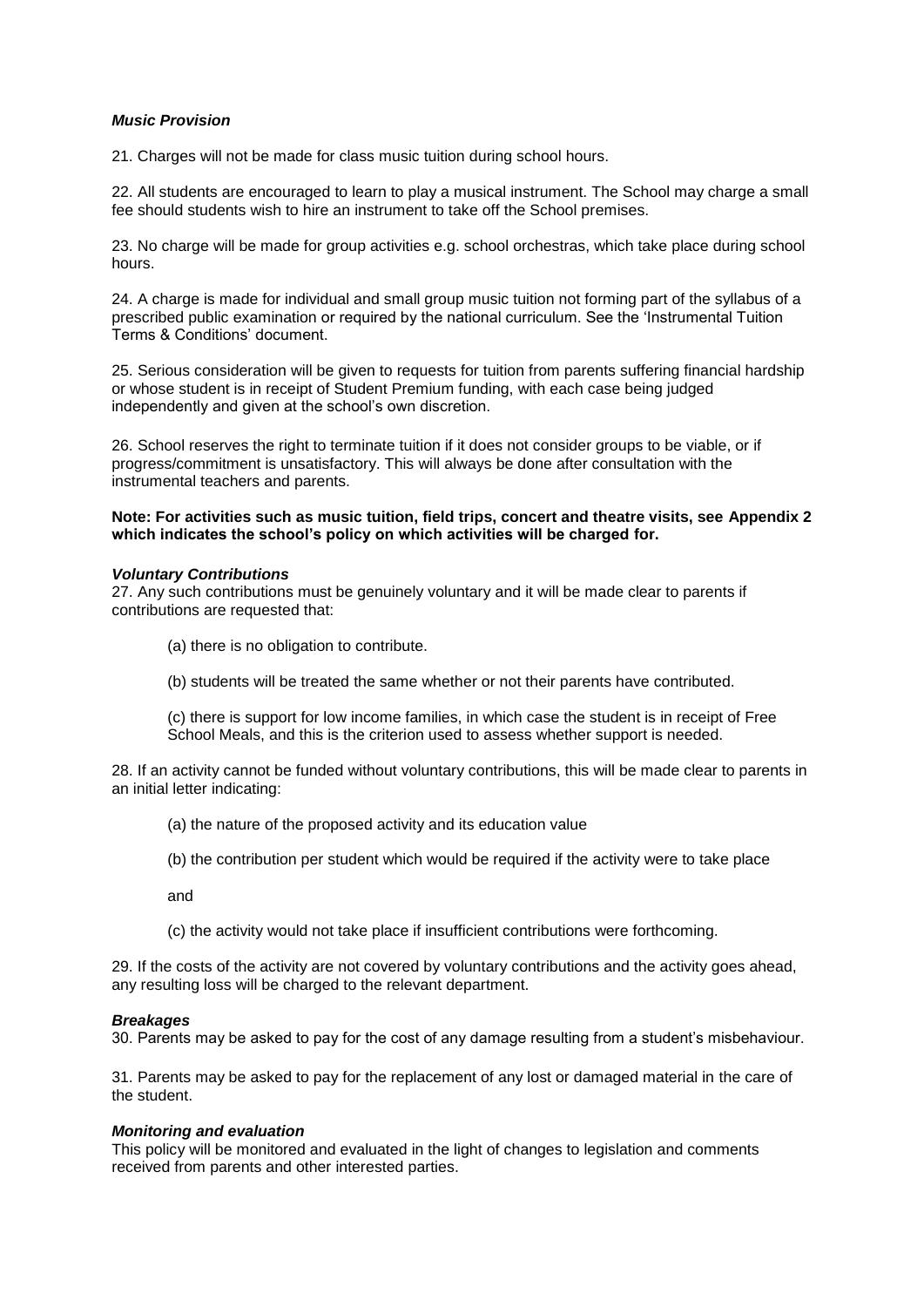### *Music Provision*

21. Charges will not be made for class music tuition during school hours.

22. All students are encouraged to learn to play a musical instrument. The School may charge a small fee should students wish to hire an instrument to take off the School premises.

23. No charge will be made for group activities e.g. school orchestras, which take place during school hours.

24. A charge is made for individual and small group music tuition not forming part of the syllabus of a prescribed public examination or required by the national curriculum. See the 'Instrumental Tuition Terms & Conditions' document.

25. Serious consideration will be given to requests for tuition from parents suffering financial hardship or whose student is in receipt of Student Premium funding, with each case being judged independently and given at the school's own discretion.

26. School reserves the right to terminate tuition if it does not consider groups to be viable, or if progress/commitment is unsatisfactory. This will always be done after consultation with the instrumental teachers and parents.

#### **Note: For activities such as music tuition, field trips, concert and theatre visits, see Appendix 2 which indicates the school's policy on which activities will be charged for.**

#### *Voluntary Contributions*

27. Any such contributions must be genuinely voluntary and it will be made clear to parents if contributions are requested that:

- (a) there is no obligation to contribute.
- (b) students will be treated the same whether or not their parents have contributed.

(c) there is support for low income families, in which case the student is in receipt of Free School Meals, and this is the criterion used to assess whether support is needed.

28. If an activity cannot be funded without voluntary contributions, this will be made clear to parents in an initial letter indicating:

- (a) the nature of the proposed activity and its education value
- (b) the contribution per student which would be required if the activity were to take place

and

(c) the activity would not take place if insufficient contributions were forthcoming.

29. If the costs of the activity are not covered by voluntary contributions and the activity goes ahead, any resulting loss will be charged to the relevant department.

#### *Breakages*

30. Parents may be asked to pay for the cost of any damage resulting from a student's misbehaviour.

31. Parents may be asked to pay for the replacement of any lost or damaged material in the care of the student.

#### *Monitoring and evaluation*

This policy will be monitored and evaluated in the light of changes to legislation and comments received from parents and other interested parties.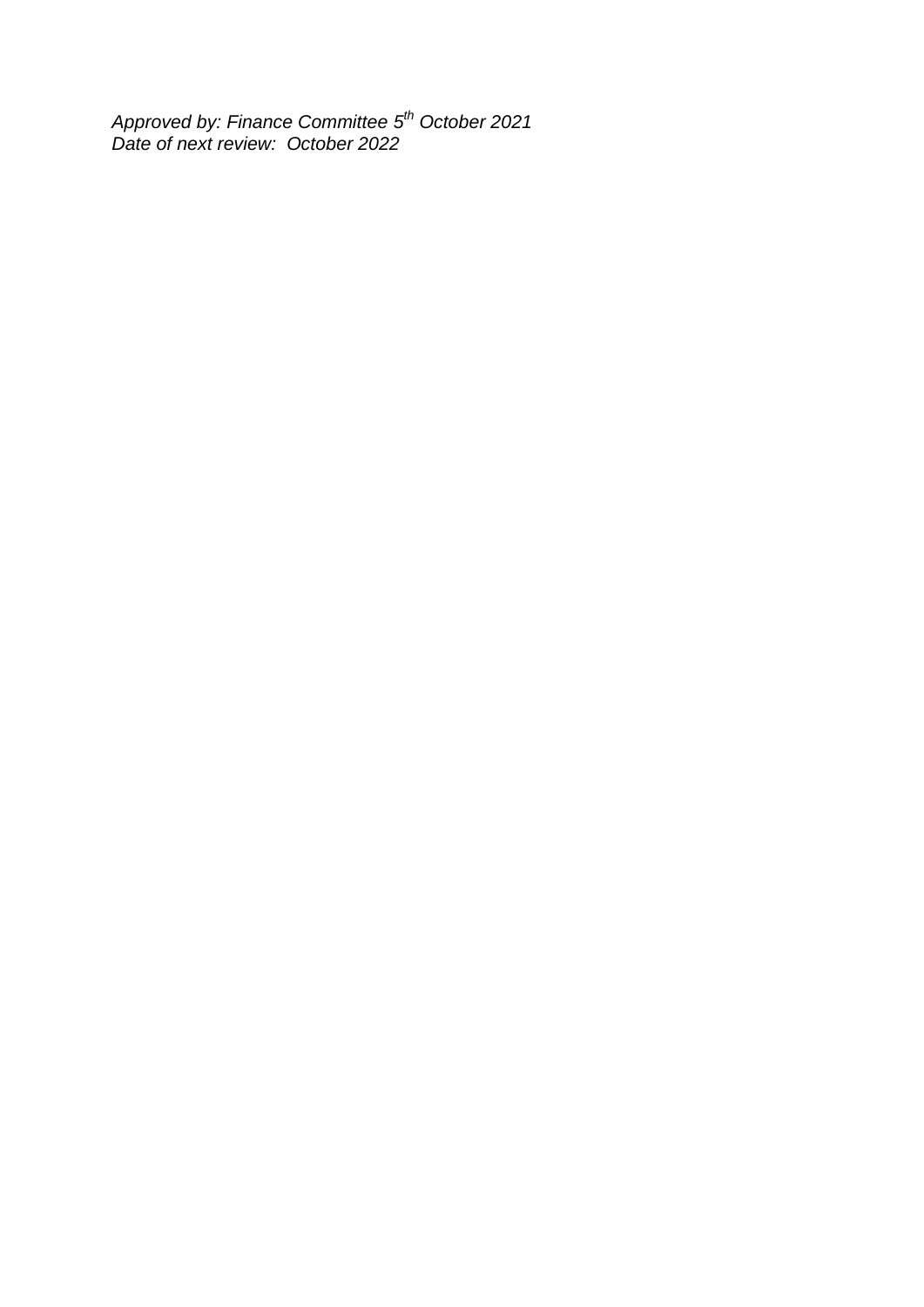*Approved by: Finance Committee 5 th October 2021 Date of next review: October 2022*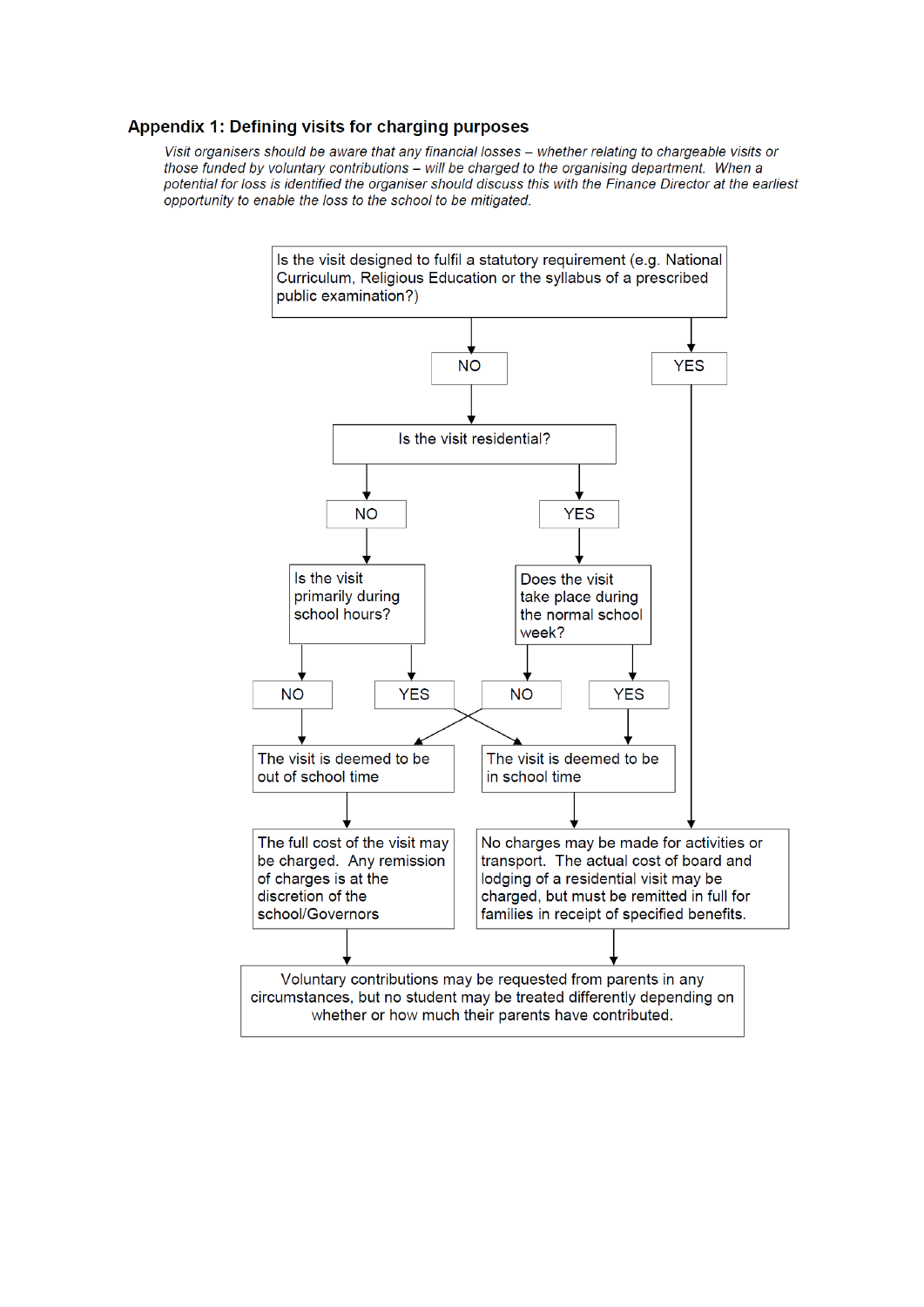# Appendix 1: Defining visits for charging purposes

Visit organisers should be aware that any financial losses - whether relating to chargeable visits or those funded by voluntary contributions - will be charged to the organising department. When a potential for loss is identified the organiser should discuss this with the Finance Director at the earliest opportunity to enable the loss to the school to be mitigated.